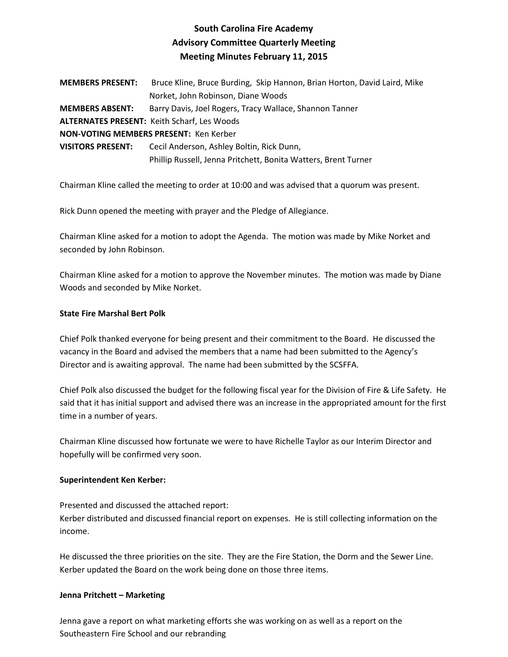# **South Carolina Fire Academy Advisory Committee Quarterly Meeting Meeting Minutes February 11, 2015**

| <b>MEMBERS PRESENT:</b>                | Bruce Kline, Bruce Burding, Skip Hannon, Brian Horton, David Laird, Mike |
|----------------------------------------|--------------------------------------------------------------------------|
|                                        | Norket, John Robinson, Diane Woods                                       |
| <b>MEMBERS ABSENT:</b>                 | Barry Davis, Joel Rogers, Tracy Wallace, Shannon Tanner                  |
|                                        | <b>ALTERNATES PRESENT: Keith Scharf, Les Woods</b>                       |
| NON-VOTING MEMBERS PRESENT: Ken Kerber |                                                                          |
| <b>VISITORS PRESENT:</b>               | Cecil Anderson, Ashley Boltin, Rick Dunn,                                |
|                                        | Phillip Russell, Jenna Pritchett, Bonita Watters, Brent Turner           |
|                                        |                                                                          |

Chairman Kline called the meeting to order at 10:00 and was advised that a quorum was present.

Rick Dunn opened the meeting with prayer and the Pledge of Allegiance.

Chairman Kline asked for a motion to adopt the Agenda. The motion was made by Mike Norket and seconded by John Robinson.

Chairman Kline asked for a motion to approve the November minutes. The motion was made by Diane Woods and seconded by Mike Norket.

## **State Fire Marshal Bert Polk**

Chief Polk thanked everyone for being present and their commitment to the Board. He discussed the vacancy in the Board and advised the members that a name had been submitted to the Agency's Director and is awaiting approval. The name had been submitted by the SCSFFA.

Chief Polk also discussed the budget for the following fiscal year for the Division of Fire & Life Safety. He said that it has initial support and advised there was an increase in the appropriated amount for the first time in a number of years.

Chairman Kline discussed how fortunate we were to have Richelle Taylor as our Interim Director and hopefully will be confirmed very soon.

## **Superintendent Ken Kerber:**

Presented and discussed the attached report: Kerber distributed and discussed financial report on expenses. He is still collecting information on the income.

He discussed the three priorities on the site. They are the Fire Station, the Dorm and the Sewer Line. Kerber updated the Board on the work being done on those three items.

## **Jenna Pritchett – Marketing**

Jenna gave a report on what marketing efforts she was working on as well as a report on the Southeastern Fire School and our rebranding